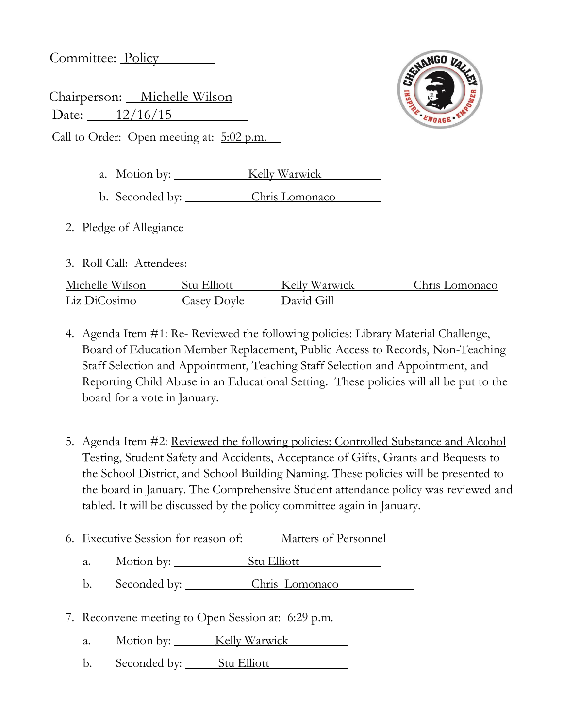Committee: Policy

Chairperson: Michelle Wilson Date: 12/16/15 **SENANGO VALLE** ENGAGE

Call to Order: Open meeting at: 5:02 p.m.

- a. Motion by: Kelly Warwick
- b. Seconded by: Chris Lomonaco
- 2. Pledge of Allegiance
- 3. Roll Call: Attendees:

| Michelle Wilson | Stu Elliott | Kelly Warwick | Chris Lomonaco |
|-----------------|-------------|---------------|----------------|
| Liz DiCosimo    | Casev Dovle | David Gill    |                |

- 4. Agenda Item #1: Re- Reviewed the following policies: Library Material Challenge, Board of Education Member Replacement, Public Access to Records, Non-Teaching Staff Selection and Appointment, Teaching Staff Selection and Appointment, and Reporting Child Abuse in an Educational Setting. These policies will all be put to the board for a vote in January.
- 5. Agenda Item #2: Reviewed the following policies: Controlled Substance and Alcohol Testing, Student Safety and Accidents, Acceptance of Gifts, Grants and Bequests to the School District, and School Building Naming. These policies will be presented to the board in January. The Comprehensive Student attendance policy was reviewed and tabled. It will be discussed by the policy committee again in January.
- 6. Executive Session for reason of: Matters of Personnel
	- a. Motion by: Stu Elliott
	- b. Seconded by: Chris Lomonaco
- 7. Reconvene meeting to Open Session at: 6:29 p.m.
	- a. Motion by: Kelly Warwick
	- b. Seconded by: Stu Elliott